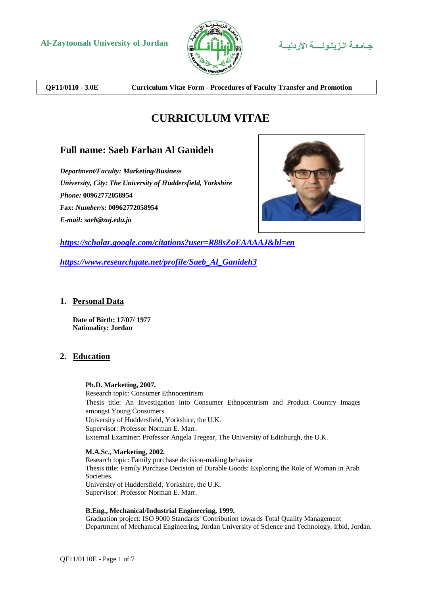



**QF11/0110 - 3.0E Curriculum Vitae Form - Procedures of Faculty Transfer and Promotion**

# **CURRICULUM VITAE**

# **Full name: Saeb Farhan Al Ganideh**

*Department/Faculty: Marketing/Business University, City: The University of Huddersfield, Yorkshire Phone:* **00962772058954 Fax:** *Number/s:* **00962772058954** *E-mail: saeb@zuj.edu.jo*



*<https://scholar.google.com/citations?user=R88sZoEAAAAJ&hl=en>*

*[https://www.researchgate.net/profile/Saeb\\_Al\\_Ganideh3](https://www.researchgate.net/profile/Saeb_Al_Ganideh3)*

# **1. Personal Data**

**Date of Birth: 17/07/ 1977 Nationality: Jordan**

# **2. Education**

## **Ph.D. Marketing, 2007.**

Research topic: Consumer Ethnocentrism Thesis title: An Investigation into Consumer Ethnocentrism and Product Country Images amongst Young Consumers. University of Huddersfield, Yorkshire, the U.K. Supervisor: Professor Norman E. Marr. External Examiner: Professor Angela Tregear, The University of Edinburgh, the U.K.

## **M.A.Sc., Marketing, 2002.**

Research topic: Family purchase decision-making behavior Thesis title: Family Purchase Decision of Durable Goods: Exploring the Role of Woman in Arab Societies. University of Huddersfield, Yorkshire, the U.K. Supervisor: Professor Norman E. Marr.

## **B.Eng., Mechanical/Industrial Engineering, 1999.**

Graduation project: ISO 9000 Standards' Contribution towards Total Quality Management Department of Mechanical Engineering, Jordan University of Science and Technology, Irbid, Jordan.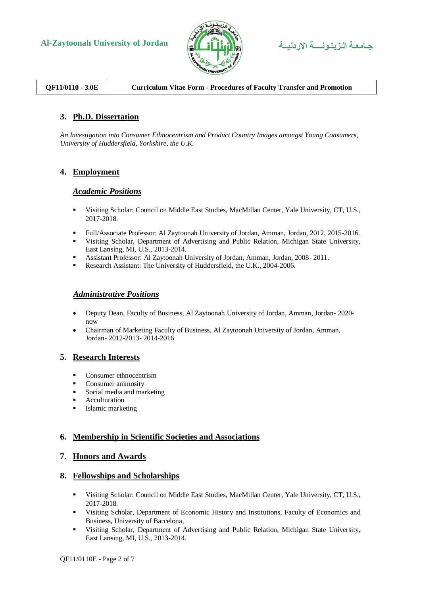



# **QF11/0110 - 3.0E Curriculum Vitae Form - Procedures of Faculty Transfer and Promotion**

# **3. Ph.D. Dissertation**

*An Investigation into Consumer Ethnocentrism and Product Country Images amongst Young Consumers, University of Huddersfield, Yorkshire, the U.K.*

# **4. Employment**

## *Academic Positions*

- Visiting Scholar: Council on Middle East Studies, MacMillan Center, Yale University, CT, U.S., 2017-2018.
- Full/Associate Professor: Al Zaytoonah University of Jordan, Amman, Jordan, 2012, 2015-2016.
- Visiting Scholar, Department of Advertising and Public Relation, Michigan State University, East Lansing, MI, U.S., 2013-2014.
- Assistant Professor: Al Zaytoonah University of Jordan, Amman, Jordan, 2008- 2011.
- Research Assistant: The University of Huddersfield, the U.K., 2004-2006.

## *Administrative Positions*

- Deputy Dean, Faculty of Business, Al Zaytoonah University of Jordan, Amman, Jordan- 2020 now
- Chairman of Marketing Faculty of Business, Al Zaytoonah University of Jordan, Amman, Jordan- 2012-2013- 2014-2016

## **5. Research Interests**

- Consumer ethnocentrism
- **Consumer animosity**
- Social media and marketing
- **Acculturation**
- **Islamic marketing**

## **6. Membership in Scientific Societies and Associations**

## **7. Honors and Awards**

## **8. Fellowships and Scholarships**

- Visiting Scholar: Council on Middle East Studies, MacMillan Center, Yale University, CT, U.S., 2017-2018.
- Visiting Scholar, Department of Economic History and Institutions, Faculty of Economics and Business, University of Barcelona,
- Visiting Scholar, Department of Advertising and Public Relation, Michigan State University, East Lansing, MI, U.S., 2013-2014.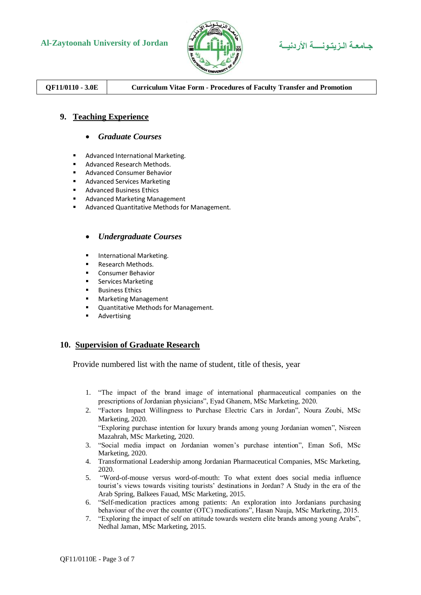

**Al-Zaytoonah University of Jordan األردنيــة الـزيتـونــــة جـامعـة**

# **QF11/0110 - 3.0E Curriculum Vitae Form - Procedures of Faculty Transfer and Promotion**

# **9. Teaching Experience**

## *Graduate Courses*

- **Advanced International Marketing.**
- Advanced Research Methods.
- Advanced Consumer Behavior
- Advanced Services Marketing
- **Advanced Business Ethics**
- Advanced Marketing Management
- Advanced Quantitative Methods for Management.

## *Undergraduate Courses*

- **International Marketing.**
- Research Methods.
- Consumer Behavior
- **Services Marketing**
- Business Ethics
- **Karketing Management**
- **Quantitative Methods for Management.**
- **Advertising**

## **10. Supervision of Graduate Research**

Provide numbered list with the name of student, title of thesis, year

- 1. "The impact of the brand image of international pharmaceutical companies on the prescriptions of Jordanian physicians", Eyad Ghanem, MSc Marketing, 2020.
- 2. "Factors Impact Willingness to Purchase Electric Cars in Jordan", Noura Zoubi, MSc Marketing, 2020.

"Exploring purchase intention for luxury brands among young Jordanian women", Nisreen Mazahrah, MSc Marketing, 2020.

- 3. "Social media impact on Jordanian women's purchase intention", Eman Sofi, MSc Marketing, 2020.
- 4. Transformational Leadership among Jordanian Pharmaceutical Companies, MSc Marketing, 2020.
- 5. "Word-of-mouse versus word-of-mouth: To what extent does social media influence tourist's views towards visiting tourists' destinations in Jordan? A Study in the era of the Arab Spring, Balkees Fauad, MSc Marketing, 2015.
- 6. "Self-medication practices among patients: An exploration into Jordanians purchasing behaviour of the over the counter (OTC) medications", Hasan Nauja, MSc Marketing, 2015.
- 7. "Exploring the impact of self on attitude towards western elite brands among young Arabs", Nedhal Jaman, MSc Marketing, 2015.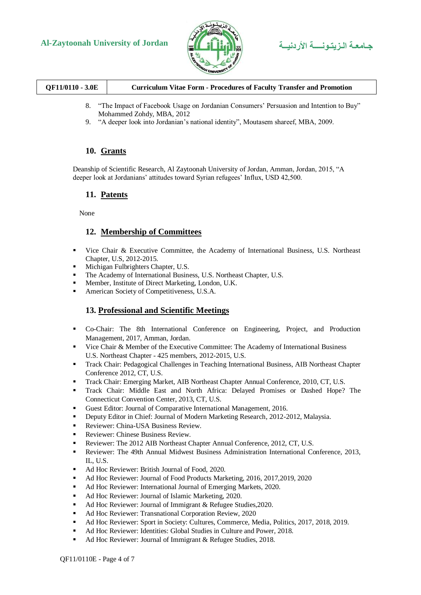



| QF11/0110 - 3.0E | <b>Curriculum Vitae Form - Procedures of Faculty Transfer and Promotion</b> |
|------------------|-----------------------------------------------------------------------------|
|                  |                                                                             |

- 8. "The Impact of Facebook Usage on Jordanian Consumers' Persuasion and Intention to Buy" Mohammed Zohdy, MBA, 2012
- 9. "A deeper look into Jordanian's national identity", Moutasem shareef, MBA, 2009.

# **10. Grants**

Deanship of Scientific Research, Al Zaytoonah University of Jordan, Amman, Jordan, 2015, "A deeper look at Jordanians' attitudes toward Syrian refugees' Influx, USD 42,500.

## **11. Patents**

None

# **12. Membership of Committees**

- Vice Chair & Executive Committee, the Academy of International Business, U.S. Northeast Chapter, U.S, 2012-2015.
- Michigan Fulbrighters Chapter, U.S.
- The Academy of International Business, U.S. Northeast Chapter, U.S.
- Member, Institute of Direct Marketing, London, U.K.
- American Society of Competitiveness, U.S.A.

# **13. Professional and Scientific Meetings**

- Co-Chair: The 8th International Conference on Engineering, Project, and Production Management, 2017, Amman, Jordan.
- Vice Chair & Member of the Executive Committee: The Academy of International Business U.S. Northeast Chapter - 425 members, 2012-2015, U.S.
- Track Chair: Pedagogical Challenges in Teaching International Business, AIB Northeast Chapter Conference 2012, CT, U.S.
- Track Chair: Emerging Market, AIB Northeast Chapter Annual Conference, 2010, CT, U.S.
- Track Chair: Middle East and North Africa: Delayed Promises or Dashed Hope? The Connecticut Convention Center, 2013, CT, U.S.
- Guest Editor: Journal of Comparative International Management, 2016.
- Deputy Editor in Chief: Journal of Modern Marketing Research, 2012-2012, Malaysia.
- Reviewer: China-USA Business Review.
- Reviewer: Chinese Business Review.
- Reviewer: The 2012 AIB Northeast Chapter Annual Conference, 2012, CT, U.S.
- Reviewer: The 49th Annual Midwest Business Administration International Conference, 2013, IL, U.S.
- Ad Hoc Reviewer: British Journal of Food, 2020.
- Ad Hoc Reviewer: Journal of Food Products Marketing, 2016, 2017, 2019, 2020
- Ad Hoc Reviewer: International Journal of Emerging Markets, 2020.
- Ad Hoc Reviewer: Journal of Islamic Marketing, 2020.
- Ad Hoc Reviewer: Journal of Immigrant & Refugee Studies, 2020.
- Ad Hoc Reviewer: Transnational Corporation Review, 2020
- Ad Hoc Reviewer: Sport in Society: Cultures, Commerce, Media, Politics, 2017, 2018, 2019.
- Ad Hoc Reviewer: Identities: Global Studies in Culture and Power, 2018.
- Ad Hoc Reviewer: Journal of Immigrant & Refugee Studies, 2018.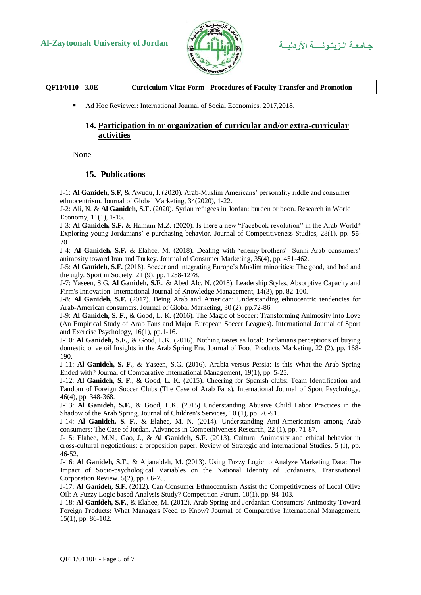

| QF11/0110 - 3.0E<br><b>Curriculum Vitae Form - Procedures of Faculty Transfer and Promotion</b> |
|-------------------------------------------------------------------------------------------------|
|-------------------------------------------------------------------------------------------------|

Ad Hoc Reviewer: International Journal of Social Economics, 2017,2018.

# **14. Participation in or organization of curricular and/or extra-curricular activities**

None

## **15. Publications**

J-1: **Al Ganideh, S.F**, & Awudu, I. (2020). Arab-Muslim Americans' personality riddle and consumer ethnocentrism. Journal of Global Marketing, 34(2020), 1-22.

J-2: Ali, N. & **Al Ganideh, S.F.** (2020). Syrian refugees in Jordan: burden or boon. Research in World Economy, 11(1), 1-15.

J-3: **Al Ganideh, S.F.** & Hamam M.Z. (2020). Is there a new "Facebook revolution" in the Arab World? Exploring young Jordanians' e-purchasing behavior. Journal of Competitiveness Studies, 28(1), pp. 56- 70.

J-4: **Al Ganideh, S.F.** & Elahee, M. (2018). Dealing with 'enemy-brothers': Sunni-Arab consumers' animosity toward Iran and Turkey. Journal of Consumer Marketing, 35(4), pp. 451-462.

J-5: **Al Ganideh, S.F.** (2018). Soccer and integrating Europe's Muslim minorities: The good, and bad and the ugly. Sport in Society, 21 (9), pp. 1258-1278.

J-7: Yaseen, S.G, **Al Ganideh, S.F.**, & Abed Alc, N. (2018). Leadership Styles, Absorptive Capacity and Firm's Innovation. International Journal of Knowledge Management, 14(3), pp. 82-100.

J-8: **Al Ganideh, S.F.** (2017). Being Arab and American: Understanding ethnocentric tendencies for Arab-American consumers. Journal of Global Marketing, 30 (2), pp.72-86.

J-9: **Al Ganideh, S. F.**, & Good, L. K. (2016). The Magic of Soccer: Transforming Animosity into Love (An Empirical Study of Arab Fans and Major European Soccer Leagues). International Journal of Sport and Exercise Psychology, 16(1), pp.1-16.

J-10: **Al Ganideh, S.F.**, & Good, L.K. (2016). Nothing tastes as local: Jordanians perceptions of buying domestic olive oil Insights in the Arab Spring Era. Journal of Food Products Marketing, 22 (2), pp. 168- 190.

J-11: **Al Ganideh, S. F.**, & Yaseen, S.G. (2016). Arabia versus Persia: Is this What the Arab Spring Ended with? Journal of Comparative International Management*,* 19(1), pp. 5-25.

J-12: **Al Ganideh, S. F.**, & Good, L. K. (2015). Cheering for Spanish clubs: Team Identification and Fandom of Foreign Soccer Clubs (The Case of Arab Fans). International Journal of Sport Psychology, 46(4), pp. 348-368.

J-13: **Al Ganideh, S.F.**, & Good, L.K. (2015) Understanding Abusive Child Labor Practices in the Shadow of the Arab Spring, Journal of Children's Services, 10 (1), pp. 76-91.

J-14: **Al Ganideh, S. F.**, & Elahee, M. N. (2014). Understanding Anti-Americanism among Arab consumers: The Case of Jordan. Advances in Competitiveness Research, 22 (1), pp. 71-87.

J-15: Elahee, M.N., Gao, J., & **Al Ganideh, S.F.** (2013). Cultural Animosity and ethical behavior in cross-cultural negotiations: a proposition paper. Review of Strategic and international Studies. 5 (I), pp. 46-52.

J-16: **Al Ganideh, S.F.**, & Aljanaideh, M. (2013). Using Fuzzy Logic to Analyze Marketing Data: The Impact of Socio-psychological Variables on the National Identity of Jordanians. Transnational Corporation Review. 5(2), pp. 66-75.

J-17: **Al Ganideh, S.F.** (2012). Can Consumer Ethnocentrism Assist the Competitiveness of Local Olive Oil: A Fuzzy Logic based Analysis Study? Competition Forum. 10(1), pp. 94-103.

J-18: **Al Ganideh, S.F.**, & Elahee, M. (2012). Arab Spring and Jordanian Consumers' Animosity Toward Foreign Products: What Managers Need to Know? Journal of Comparative International Management. 15(1), pp. 86-102.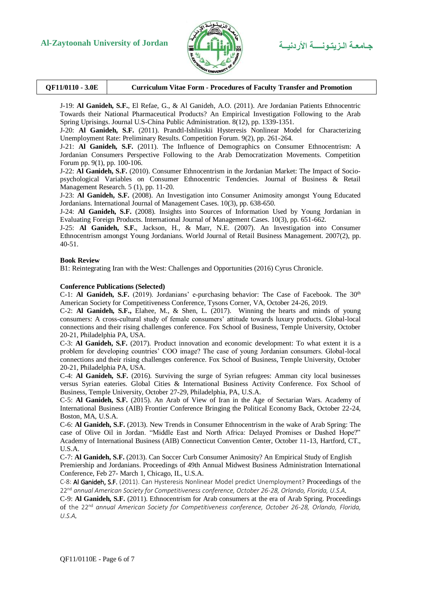



J-19: **Al Ganideh, S.F.**, El Refae, G., & Al Ganideh, A.O. (2011). Are Jordanian Patients Ethnocentric Towards their National Pharmaceutical Products? An Empirical Investigation Following to the Arab Spring Uprisings. Journal U.S-China Public Administration. 8(12), pp. 1339-1351.

J-20: **Al Ganideh, S.F.** (2011). Prandtl-Ishlinskii Hysteresis Nonlinear Model for Characterizing Unemployment Rate: Preliminary Results. Competition Forum. 9(2), pp. 261-264.

J-21: **Al Ganideh, S.F.** (2011). The Influence of Demographics on Consumer Ethnocentrism: A Jordanian Consumers Perspective Following to the Arab Democratization Movements. Competition Forum pp. 9(1), pp. 100-106.

J-22: **Al Ganideh, S.F.** (2010). Consumer Ethnocentrism in the Jordanian Market: The Impact of Sociopsychological Variables on Consumer Ethnocentric Tendencies. Journal of Business & Retail Management Research. 5 (1), pp. 11-20.

J-23: **Al Ganideh, S.F.** (2008). An Investigation into Consumer Animosity amongst Young Educated Jordanians. International Journal of Management Cases. 10(3), pp. 638-650.

J-24: **Al Ganideh, S.F.** (2008). Insights into Sources of Information Used by Young Jordanian in Evaluating Foreign Products. International Journal of Management Cases. 10(3), pp. 651-662.

J-25: **Al Ganideh, S.F.**, Jackson, H., & Marr, N.E. (2007). An Investigation into Consumer Ethnocentrism amongst Young Jordanians. World Journal of Retail Business Management. 2007(2), pp. 40-51.

### **Book Review**

B1: Reintegrating Iran with the West: Challenges and Opportunities (2016) Cyrus Chronicle.

### **Conference Publications (Selected)**

C-1: **Al Ganideh, S.F.** (2019). Jordanians' e-purchasing behavior: The Case of Facebook. The 30<sup>th</sup> American Society for Competitiveness Conference, Tysons Corner, VA, October 24-26, 2019.

C-2: **Al Ganideh, S.F.,** Elahee, M., & Shen, L. (2017). Winning the hearts and minds of young consumers: A cross-cultural study of female consumers' attitude towards luxury products. Global-local connections and their rising challenges conference. Fox School of Business, Temple University, October 20-21, Philadelphia PA, USA.

C-3: **Al Ganideh, S.F.** (2017). Product innovation and economic development: To what extent it is a problem for developing countries' COO image? The case of young Jordanian consumers. Global-local connections and their rising challenges conference. Fox School of Business, Temple University, October 20-21, Philadelphia PA, USA.

C-4: **Al Ganideh, S.F.** (2016). Surviving the surge of Syrian refugees: Amman city local businesses versus Syrian eateries. Global Cities & International Business Activity Conference. Fox School of Business, Temple University, October 27-29, Philadelphia, PA, U.S.A.

C-5: **Al Ganideh, S.F.** (2015). An Arab of View of Iran in the Age of Sectarian Wars. Academy of International Business (AIB) Frontier Conference Bringing the Political Economy Back, October 22-24, Boston, MA, U.S.A.

C-6: **Al Ganideh, S.F.** (2013). New Trends in Consumer Ethnocentrism in the wake of Arab Spring: The case of Olive Oil in Jordan. "Middle East and North Africa: Delayed Promises or Dashed Hope?" Academy of International Business (AIB) Connecticut Convention Center, October 11-13, Hartford, CT., U.S.A.

C-7: **Al Ganideh, S.F.** (2013). Can Soccer Curb Consumer Animosity? An Empirical Study of English Premiership and Jordanians. Proceedings of 49th Annual Midwest Business Administration International Conference, Feb 27- March 1, Chicago, IL, U.S.A.

C-8: Al Ganideh, S.F. (2011). Can Hysteresis Nonlinear Model predict Unemployment? Proceedings of the 22nd *annual American Society for Competitiveness conference, October 26-28, Orlando, Florida, U.S.A.*

C-9: **Al Ganideh, S.F.** (2011). Ethnocentrism for Arab consumers at the era of Arab Spring. Proceedings of the 22nd *annual American Society for Competitiveness conference, October 26-28, Orlando, Florida, U.S.A.*